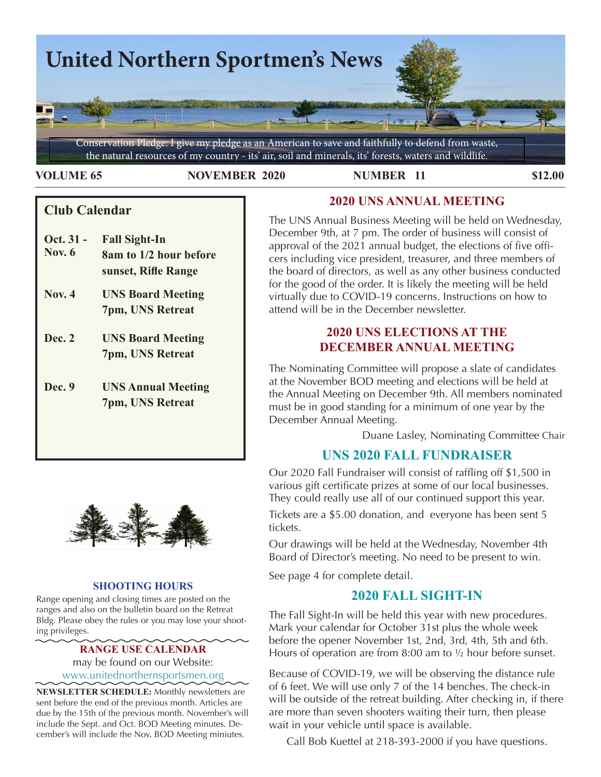

**VOLUME 65 NOVEMBER 2020 NUMBER 11 \$12.00** 

# **Club Calendar**

- **Oct. 31 - Fall Sight-In Nov. 6 8am to 1/2 hour before sunset, Rifle Range**
- **Nov. 4 UNS Board Meeting 7pm, UNS Retreat**
- **Dec. 2 UNS Board Meeting 7pm, UNS Retreat**
- **Dec. 9 UNS Annual Meeting 7pm, UNS Retreat**



## **SHOOTING HOURS**

Range opening and closing times are posted on the ranges and also on the bulletin board on the Retreat Bldg. Please obey the rules or you may lose your shooting privileges.

> **RANGE USE CALENDAR**  may be found on our Website: [www.unitednorthernsportsmen.org](http://www.unitednorthernsportsmen.org)

**NEWSLETTER SCHEDULE:** Monthly newsletters are sent before the end of the previous month. Articles are due by the 15th of the previous month. November's will include the Sept. and Oct. BOD Meeting minutes. December's will include the Nov. BOD Meeting miniutes.

# **2020 UNS ANNUAL MEETING**

The UNS Annual Business Meeting will be held on Wednesday, December 9th, at 7 pm. The order of business will consist of approval of the 2021 annual budget, the elections of five officers including vice president, treasurer, and three members of the board of directors, as well as any other business conducted for the good of the order. It is likely the meeting will be held virtually due to COVID-19 concerns. Instructions on how to attend will be in the December newsletter.

# **2020 UNS ELECTIONS AT THE DECEMBER ANNUAL MEETING**

The Nominating Committee will propose a slate of candidates at the November BOD meeting and elections will be held at the Annual Meeting on December 9th. All members nominated must be in good standing for a minimum of one year by the December Annual Meeting.

Duane Lasley, Nominating Committee Chair

# **UNS 2020 FALL FUNDRAISER**

Yorik's blender <sup>g</sup> pinterest.se Our 2020 Fall Fundraiser will consist of raffling off \$1,500 in various gift certificate prizes at some of our local businesses. They could really use all of our continued support this year.

> Tickets are a \$5.00 donation, and everyone has been sent 5 tickets.

> Our drawings will be held at the Wednesday, November 4th Board of Director's meeting. No need to be present to win.

See page 4 for complete detail.

# **2020 FALL SIGHT-IN**

The Fall Sight-In will be held this year with new procedures. Mark your calendar for October 31st plus the whole week before the opener November 1st, 2nd, 3rd, 4th, 5th and 6th. Hours of operation are from 8:00 am to ½ hour before sunset.

Because of COVID-19, we will be observing the distance rule of 6 feet. We will use only 7 of the 14 benches. The check-in will be outside of the retreat building. After checking in, if there are more than seven shooters waiting their turn, then please wait in your vehicle until space is available.

Call Bob Kuettel at 218-393-2000 if you have questions.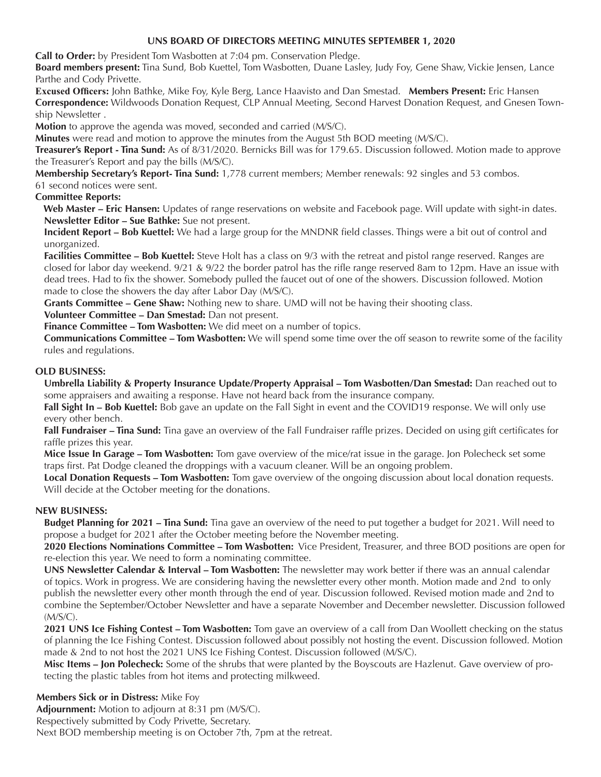## **UNS BOARD OF DIRECTORS MEETING MINUTES SEPTEMBER 1, 2020**

**Call to Order:** by President Tom Wasbotten at 7:04 pm. Conservation Pledge.

**Board members present:** Tina Sund, Bob Kuettel, Tom Wasbotten, Duane Lasley, Judy Foy, Gene Shaw, Vickie Jensen, Lance Parthe and Cody Privette.

**Excused Officers:** John Bathke, Mike Foy, Kyle Berg, Lance Haavisto and Dan Smestad. **Members Present:** Eric Hansen **Correspondence:** Wildwoods Donation Request, CLP Annual Meeting, Second Harvest Donation Request, and Gnesen Township Newsletter .

**Motion** to approve the agenda was moved, seconded and carried (M/S/C).

**Minutes** were read and motion to approve the minutes from the August 5th BOD meeting (M/S/C).

**Treasurer's Report - Tina Sund:** As of 8/31/2020. Bernicks Bill was for 179.65. Discussion followed. Motion made to approve the Treasurer's Report and pay the bills (M/S/C).

**Membership Secretary's Report- Tina Sund:** 1,778 current members; Member renewals: 92 singles and 53 combos.

61 second notices were sent.

## **Committee Reports:**

 **Web Master – Eric Hansen:** Updates of range reservations on website and Facebook page. Will update with sight-in dates. **Newsletter Editor – Sue Bathke:** Sue not present.

**Incident Report – Bob Kuettel:** We had a large group for the MNDNR field classes. Things were a bit out of control and unorganized.

**Facilities Committee – Bob Kuettel:** Steve Holt has a class on 9/3 with the retreat and pistol range reserved. Ranges are closed for labor day weekend. 9/21 & 9/22 the border patrol has the rifle range reserved 8am to 12pm. Have an issue with dead trees. Had to fix the shower. Somebody pulled the faucet out of one of the showers. Discussion followed. Motion made to close the showers the day after Labor Day (M/S/C).

**Grants Committee – Gene Shaw:** Nothing new to share. UMD will not be having their shooting class.

**Volunteer Committee – Dan Smestad:** Dan not present.

**Finance Committee – Tom Wasbotten:** We did meet on a number of topics.

**Communications Committee – Tom Wasbotten:** We will spend some time over the off season to rewrite some of the facility rules and regulations.

## **OLD BUSINESS:**

**Umbrella Liability & Property Insurance Update/Property Appraisal – Tom Wasbotten/Dan Smestad:** Dan reached out to some appraisers and awaiting a response. Have not heard back from the insurance company.

**Fall Sight In – Bob Kuettel:** Bob gave an update on the Fall Sight in event and the COVID19 response. We will only use every other bench.

**Fall Fundraiser – Tina Sund:** Tina gave an overview of the Fall Fundraiser raffle prizes. Decided on using gift certificates for raffle prizes this year.

**Mice Issue In Garage – Tom Wasbotten:** Tom gave overview of the mice/rat issue in the garage. Jon Polecheck set some traps first. Pat Dodge cleaned the droppings with a vacuum cleaner. Will be an ongoing problem.

**Local Donation Requests – Tom Wasbotten:** Tom gave overview of the ongoing discussion about local donation requests. Will decide at the October meeting for the donations.

#### **NEW BUSINESS:**

**Budget Planning for 2021 – Tina Sund:** Tina gave an overview of the need to put together a budget for 2021. Will need to propose a budget for 2021 after the October meeting before the November meeting.

**2020 Elections Nominations Committee – Tom Wasbotten:** Vice President, Treasurer, and three BOD positions are open for re-election this year. We need to form a nominating committee.

**UNS Newsletter Calendar & Interval – Tom Wasbotten:** The newsletter may work better if there was an annual calendar of topics. Work in progress. We are considering having the newsletter every other month. Motion made and 2nd to only publish the newsletter every other month through the end of year. Discussion followed. Revised motion made and 2nd to combine the September/October Newsletter and have a separate November and December newsletter. Discussion followed (M/S/C).

**2021 UNS Ice Fishing Contest – Tom Wasbotten:** Tom gave an overview of a call from Dan Woollett checking on the status of planning the Ice Fishing Contest. Discussion followed about possibly not hosting the event. Discussion followed. Motion made & 2nd to not host the 2021 UNS Ice Fishing Contest. Discussion followed (M/S/C).

**Misc Items – Jon Polecheck:** Some of the shrubs that were planted by the Boyscouts are Hazlenut. Gave overview of protecting the plastic tables from hot items and protecting milkweed.

#### **Members Sick or in Distress:** Mike Foy

**Adjournment:** Motion to adjourn at 8:31 pm (M/S/C). Respectively submitted by Cody Privette, Secretary. Next BOD membership meeting is on October 7th, 7pm at the retreat.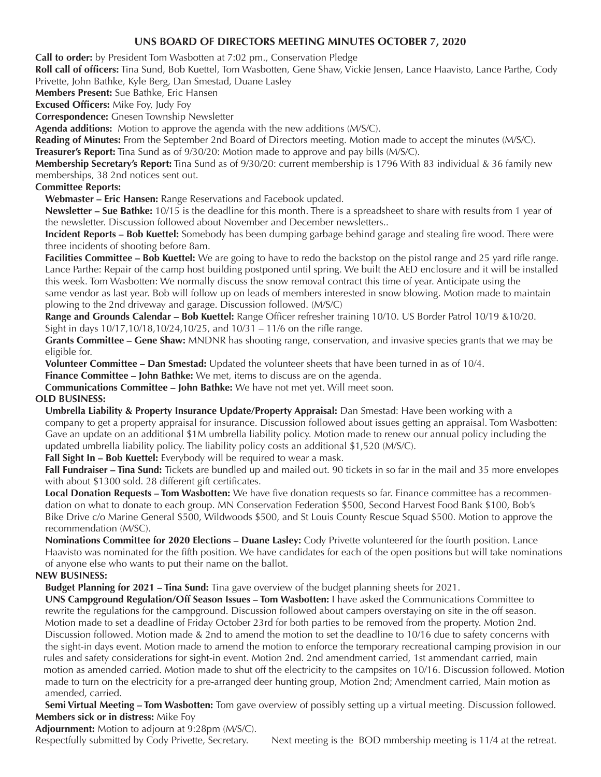## **UNS BOARD OF DIRECTORS MEETING MINUTES OCTOBER 7, 2020**

**Call to order:** by President Tom Wasbotten at 7:02 pm., Conservation Pledge

 Privette, John Bathke, Kyle Berg, Dan Smestad, Duane Lasley **Roll call of officers:** Tina Sund, Bob Kuettel, Tom Wasbotten, Gene Shaw, Vickie Jensen, Lance Haavisto, Lance Parthe, Cody

**Members Present:** Sue Bathke, Eric Hansen

**Excused Officers:** Mike Foy, Judy Foy

**Correspondence:** Gnesen Township Newsletter

**Agenda additions:** Motion to approve the agenda with the new additions (M/S/C).

**Reading of Minutes:** From the September 2nd Board of Directors meeting. Motion made to accept the minutes (M/S/C).

**Treasurer's Report:** Tina Sund as of 9/30/20: Motion made to approve and pay bills (M/S/C).

**Membership Secretary's Report:** Tina Sund as of 9/30/20: current membership is 1796 With 83 individual & 36 family new memberships, 38 2nd notices sent out.

## **Committee Reports:**

**Webmaster – Eric Hansen:** Range Reservations and Facebook updated.

**Newsletter – Sue Bathke:** 10/15 is the deadline for this month. There is a spreadsheet to share with results from 1 year of the newsletter. Discussion followed about November and December newsletters..

**Incident Reports – Bob Kuettel:** Somebody has been dumping garbage behind garage and stealing fire wood. There were three incidents of shooting before 8am.

**Facilities Committee – Bob Kuettel:** We are going to have to redo the backstop on the pistol range and 25 yard rifle range. Lance Parthe: Repair of the camp host building postponed until spring. We built the AED enclosure and it will be installed this week. Tom Wasbotten: We normally discuss the snow removal contract this time of year. Anticipate using the same vendor as last year. Bob will follow up on leads of members interested in snow blowing. Motion made to maintain plowing to the 2nd driveway and garage. Discussion followed. (M/S/C)

**Range and Grounds Calendar – Bob Kuettel:** Range Officer refresher training 10/10. US Border Patrol 10/19 &10/20. Sight in days 10/17,10/18,10/24,10/25, and 10/31 – 11/6 on the rifle range.

**Grants Committee – Gene Shaw:** MNDNR has shooting range, conservation, and invasive species grants that we may be eligible for.

**Volunteer Committee – Dan Smestad:** Updated the volunteer sheets that have been turned in as of 10/4.

**Finance Committee – John Bathke:** We met, items to discuss are on the agenda.

**Communications Committee – John Bathke:** We have not met yet. Will meet soon.

## **OLD BUSINESS:**

**Umbrella Liability & Property Insurance Update/Property Appraisal:** Dan Smestad: Have been working with a company to get a property appraisal for insurance. Discussion followed about issues getting an appraisal. Tom Wasbotten: Gave an update on an additional \$1M umbrella liability policy. Motion made to renew our annual policy including the updated umbrella liability policy. The liability policy costs an additional \$1,520 (M/S/C).

Fall Sight In - Bob Kuettel: Everybody will be required to wear a mask.

**Fall Fundraiser – Tina Sund:** Tickets are bundled up and mailed out. 90 tickets in so far in the mail and 35 more envelopes with about \$1300 sold. 28 different gift certificates.

**Local Donation Requests – Tom Wasbotten:** We have five donation requests so far. Finance committee has a recommendation on what to donate to each group. MN Conservation Federation \$500, Second Harvest Food Bank \$100, Bob's Bike Drive c/o Marine General \$500, Wildwoods \$500, and St Louis County Rescue Squad \$500. Motion to approve the recommendation (M/SC).

**Nominations Committee for 2020 Elections – Duane Lasley:** Cody Privette volunteered for the fourth position. Lance Haavisto was nominated for the fifth position. We have candidates for each of the open positions but will take nominations of anyone else who wants to put their name on the ballot.

#### **NEW BUSINESS:**

**Budget Planning for 2021 – Tina Sund:** Tina gave overview of the budget planning sheets for 2021.

**UNS Campground Regulation/Off Season Issues – Tom Wasbotten:** I have asked the Communications Committee to rewrite the regulations for the campground. Discussion followed about campers overstaying on site in the off season. Motion made to set a deadline of Friday October 23rd for both parties to be removed from the property. Motion 2nd. Discussion followed. Motion made & 2nd to amend the motion to set the deadline to 10/16 due to safety concerns with the sight-in days event. Motion made to amend the motion to enforce the temporary recreational camping provision in our rules and safety considerations for sight-in event. Motion 2nd. 2nd amendment carried, 1st ammendant carried, main motion as amended carried. Motion made to shut off the electricity to the campsites on 10/16. Discussion followed. Motion made to turn on the electricity for a pre-arranged deer hunting group, Motion 2nd; Amendment carried, Main motion as amended, carried.

**Semi Virtual Meeting – Tom Wasbotten:** Tom gave overview of possibly setting up a virtual meeting. Discussion followed. **Members sick or in distress:** Mike Foy

**Adjournment:** Motion to adjourn at 9:28pm (M/S/C).

Respectfully submitted by Cody Privette, Secretary. Next meeting is the BOD mmbership meeting is 11/4 at the retreat.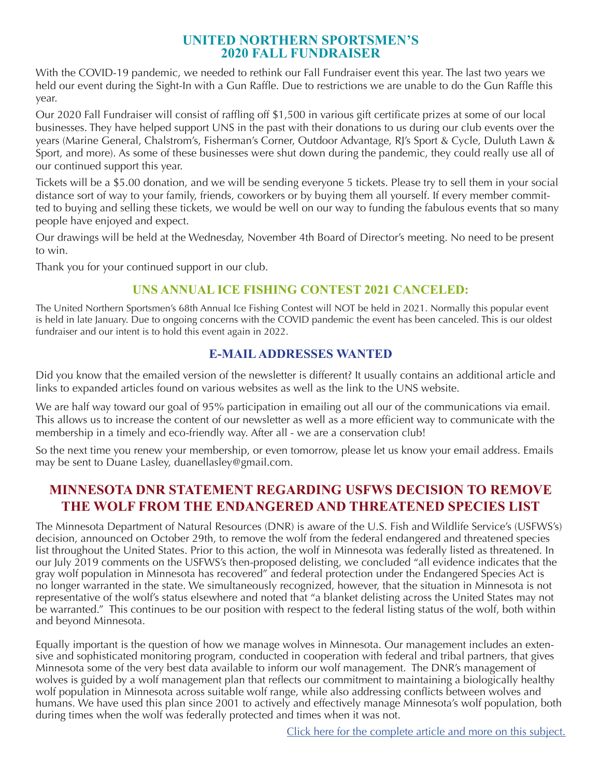## **UNITED NORTHERN SPORTSMEN'S 2020 FALL FUNDRAISER**

With the COVID-19 pandemic, we needed to rethink our Fall Fundraiser event this year. The last two years we held our event during the Sight-In with a Gun Raffle. Due to restrictions we are unable to do the Gun Raffle this year.

Our 2020 Fall Fundraiser will consist of raffling off \$1,500 in various gift certificate prizes at some of our local businesses. They have helped support UNS in the past with their donations to us during our club events over the years (Marine General, Chalstrom's, Fisherman's Corner, Outdoor Advantage, RJ's Sport & Cycle, Duluth Lawn & Sport, and more). As some of these businesses were shut down during the pandemic, they could really use all of our continued support this year.

Tickets will be a \$5.00 donation, and we will be sending everyone 5 tickets. Please try to sell them in your social distance sort of way to your family, friends, coworkers or by buying them all yourself. If every member committed to buying and selling these tickets, we would be well on our way to funding the fabulous events that so many people have enjoyed and expect.

Our drawings will be held at the Wednesday, November 4th Board of Director's meeting. No need to be present to win.

Thank you for your continued support in our club.

# **UNS ANNUAL ICE FISHING CONTEST 2021 CANCELED:**

The United Northern Sportsmen's 68th Annual Ice Fishing Contest will NOT be held in 2021. Normally this popular event is held in late January. Due to ongoing concerns with the COVID pandemic the event has been canceled. This is our oldest fundraiser and our intent is to hold this event again in 2022.

# **E-MAIL ADDRESSES WANTED**

Did you know that the emailed version of the newsletter is different? It usually contains an additional article and links to expanded articles found on various websites as well as the link to the UNS website.

We are half way toward our goal of 95% participation in emailing out all our of the communications via email. This allows us to increase the content of our newsletter as well as a more efficient way to communicate with the membership in a timely and eco-friendly way. After all - we are a conservation club!

So the next time you renew your membership, or even tomorrow, please let us know your email address. Emails may be sent to Duane Lasley, duanellasley@gmail.com.

# **MINNESOTA DNR STATEMENT REGARDING USFWS DECISION TO REMOVE THE WOLF FROM THE ENDANGERED AND THREATENED SPECIES LIST**

The Minnesota Department of Natural Resources (DNR) is aware of the U.S. Fish and Wildlife Service's (USFWS's) decision, announced on October 29th, to remove the wolf from the federal endangered and threatened species list throughout the United States. Prior to this action, the wolf in Minnesota was federally listed as threatened. In our July 2019 comments on the USFWS's then-proposed delisting, we concluded "all evidence indicates that the gray wolf population in Minnesota has recovered" and federal protection under the Endangered Species Act is no longer warranted in the state. We simultaneously recognized, however, that the situation in Minnesota is not representative of the wolf's status elsewhere and noted that "a blanket delisting across the United States may not be warranted." This continues to be our position with respect to the federal listing status of the wolf, both within and beyond Minnesota.

Equally important is the question of how we manage wolves in Minnesota. Our management includes an extensive and sophisticated monitoring program, conducted in cooperation with federal and tribal partners, that gives Minnesota some of the very best data available to inform our wolf management. The DNR's management of wolves is guided by a wolf management plan that reflects our commitment to maintaining a biologically healthy wolf population in Minnesota across suitable wolf range, while also addressing conflicts between wolves and humans. We have used this plan since 2001 to actively and effectively manage Minnesota's wolf population, both during times when the wolf was federally protected and times when it was not.

[Click here for the complete article and more on this subject.](https://www.dnr.state.mn.us/wolves/wolf-plan.html)